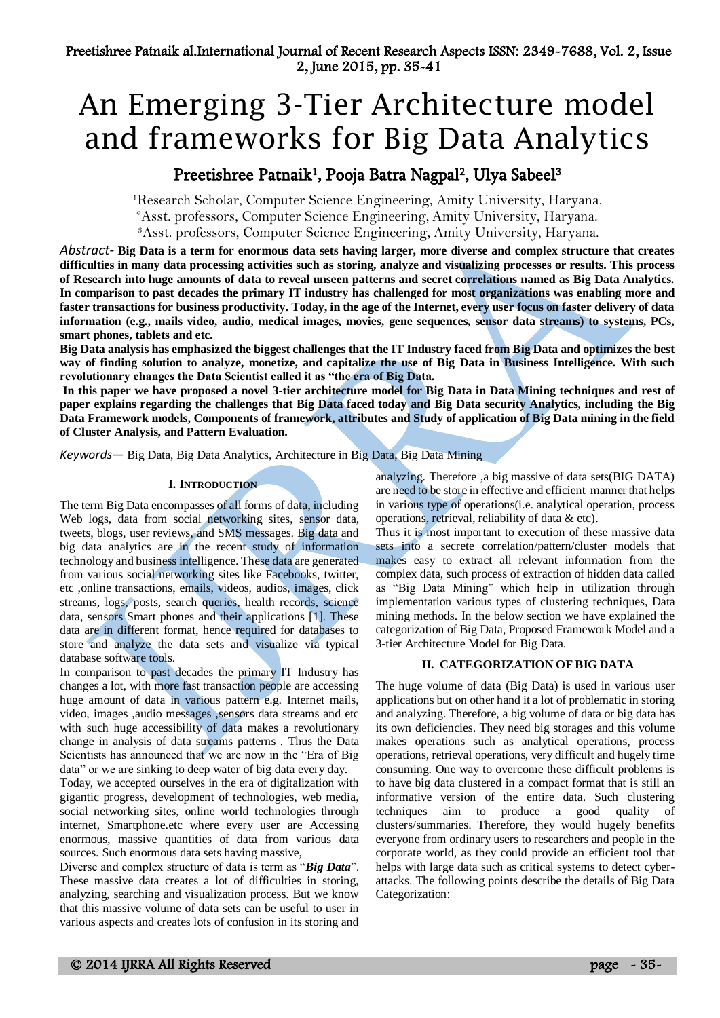# An Emerging 3-Tier Architecture model and frameworks for Big Data Analytics

## Preetishree Patnaik<sup>1</sup>, Pooja Batra Nagpal<sup>2</sup>, Ulya Sabeel<sup>3</sup>

<sup>1</sup>Research Scholar, Computer Science Engineering, Amity University, Haryana. <sup>2</sup>Asst. professors, Computer Science Engineering, Amity University, Haryana.

<sup>3</sup>Asst. professors, Computer Science Engineering, Amity University, Haryana.

*Abstract-* **Big Data is a term for enormous data sets having larger, more diverse and complex structure that creates difficulties in many data processing activities such as storing, analyze and visualizing processes or results. This process of Research into huge amounts of data to reveal unseen patterns and secret correlations named as Big Data Analytics. In comparison to past decades the primary IT industry has challenged for most organizations was enabling more and faster transactions for business productivity. Today, in the age of the Internet, every user focus on faster delivery of data information (e.g., mails video, audio, medical images, movies, gene sequences, sensor data streams) to systems, PCs, smart phones, tablets and etc.**

**Big Data analysis has emphasized the biggest challenges that the IT Industry faced from Big Data and optimizes the best way of finding solution to analyze, monetize, and capitalize the use of Big Data in Business Intelligence. With such revolutionary changes the Data Scientist called it as "the era of Big Data.**

**In this paper we have proposed a novel 3-tier architecture model for Big Data in Data Mining techniques and rest of paper explains regarding the challenges that Big Data faced today and Big Data security Analytics, including the Big Data Framework models, Components of framework, attributes and Study of application of Big Data mining in the field of Cluster Analysis, and Pattern Evaluation.**

*Keywords*— Big Data, Big Data Analytics, Architecture in Big Data, Big Data Mining

## **I. INTRODUCTION**

The term Big Data encompasses of all forms of data, including Web logs, data from social networking sites, sensor data, tweets, blogs, user reviews, and SMS messages. Big data and big data analytics are in the recent study of information technology and business intelligence. These data are generated from various social networking sites like Facebooks, twitter, etc ,online transactions, emails, videos, audios, images, click streams, logs, posts, search queries, health records, science data, sensors Smart phones and their applications [1]. These data are in different format, hence required for databases to store and analyze the data sets and visualize via typical database software tools.

In comparison to past decades the primary IT Industry has changes a lot, with more fast transaction people are accessing huge amount of data in various pattern e.g. Internet mails, video, images ,audio messages ,sensors data streams and etc with such huge accessibility of data makes a revolutionary change in analysis of data streams patterns . Thus the Data Scientists has announced that we are now in the "Era of Big data" or we are sinking to deep water of big data every day.

Today, we accepted ourselves in the era of digitalization with gigantic progress, development of technologies, web media, social networking sites, online world technologies through internet, Smartphone.etc where every user are Accessing enormous, massive quantities of data from various data sources. Such enormous data sets having massive,

Diverse and complex structure of data is term as "*Big Data*". These massive data creates a lot of difficulties in storing, analyzing, searching and visualization process. But we know that this massive volume of data sets can be useful to user in various aspects and creates lots of confusion in its storing and analyzing. Therefore ,a big massive of data sets(BIG DATA) are need to be store in effective and efficient manner that helps in various type of operations(i.e. analytical operation, process operations, retrieval, reliability of data & etc).

Thus it is most important to execution of these massive data sets into a secrete correlation/pattern/cluster models that makes easy to extract all relevant information from the complex data, such process of extraction of hidden data called as "Big Data Mining" which help in utilization through implementation various types of clustering techniques, Data mining methods. In the below section we have explained the categorization of Big Data, Proposed Framework Model and a 3-tier Architecture Model for Big Data.

#### **II. CATEGORIZATION OF BIG DATA**

The huge volume of data (Big Data) is used in various user applications but on other hand it a lot of problematic in storing and analyzing. Therefore, a big volume of data or big data has its own deficiencies. They need big storages and this volume makes operations such as analytical operations, process operations, retrieval operations, very difficult and hugely time consuming. One way to overcome these difficult problems is to have big data clustered in a compact format that is still an informative version of the entire data. Such clustering techniques aim to produce a good quality of clusters/summaries. Therefore, they would hugely benefits everyone from ordinary users to researchers and people in the corporate world, as they could provide an efficient tool that helps with large data such as critical systems to detect cyberattacks. The following points describe the details of Big Data Categorization: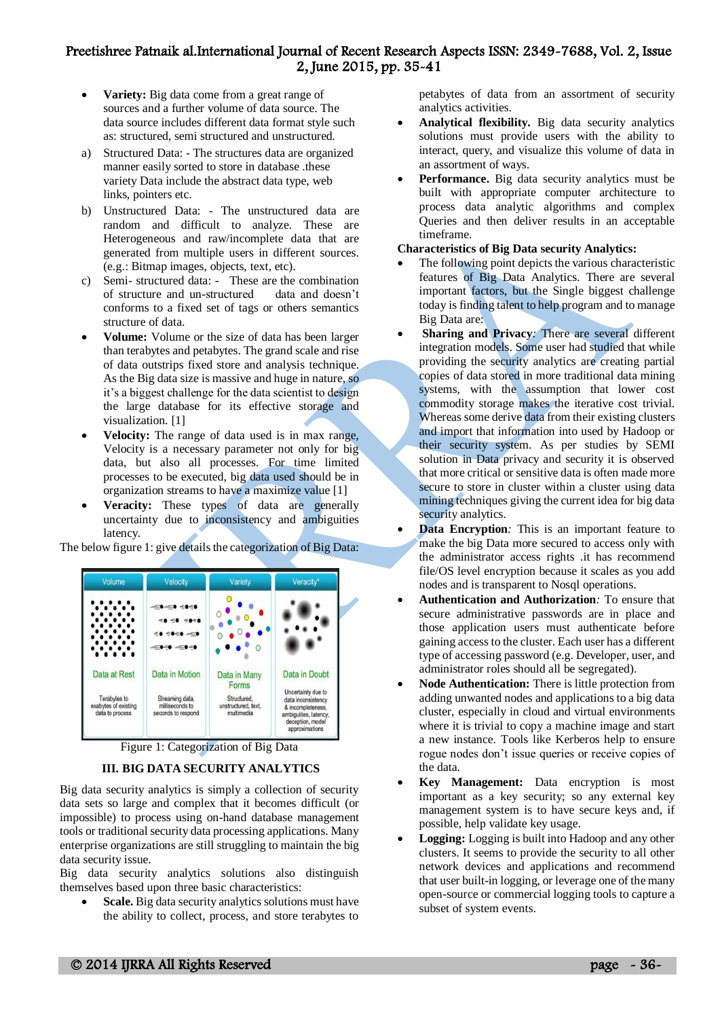- **Variety:** Big data come from a great range of sources and a further volume of data source. The data source includes different data format style such as: structured, semi structured and unstructured*.*
- a) Structured Data: The structures data are organized manner easily sorted to store in database .these variety Data include the abstract data type, web links, pointers etc.
- b) Unstructured Data: The unstructured data are random and difficult to analyze. These are Heterogeneous and raw/incomplete data that are generated from multiple users in different sources. (e.g.: Bitmap images, objects, text, etc).
- c) Semi- structured data: These are the combination of structure and un-structured data and doesn't conforms to a fixed set of tags or others semantics structure of data.
- **Volume:** Volume or the size of data has been larger than terabytes and petabytes. The grand scale and rise of data outstrips fixed store and analysis technique. As the Big data size is massive and huge in nature, so it's a biggest challenge for the data scientist to design the large database for its effective storage and visualization. [1]
- **Velocity:** The range of data used is in max range, Velocity is a necessary parameter not only for big data, but also all processes. For time limited processes to be executed, big data used should be in organization streams to have a maximize value [1]
- **Veracity:** These types of data are generally uncertainty due to inconsistency and ambiguities latency*.*

The below figure 1: give details the categorization of Big Data:



Figure 1: Categorization of Big Data

## **III. BIG DATA SECURITY ANALYTICS**

Big data security analytics is simply a collection of security data sets so large and complex that it becomes difficult (or impossible) to process using on-hand database management tools or traditional security data processing applications. Many enterprise organizations are still struggling to maintain the big data security issue.

Big data security analytics solutions also distinguish themselves based upon three basic characteristics:

 **Scale.** Big data security analytics solutions must have the ability to collect, process, and store terabytes to petabytes of data from an assortment of security analytics activities.

- **Analytical flexibility.** Big data security analytics solutions must provide users with the ability to interact, query, and visualize this volume of data in an assortment of ways.
- **Performance.** Big data security analytics must be built with appropriate computer architecture to process data analytic algorithms and complex Queries and then deliver results in an acceptable timeframe.

#### **Characteristics of Big Data security Analytics:**

- The following point depicts the various characteristic features of Big Data Analytics. There are several important factors, but the Single biggest challenge today is finding talent to help program and to manage Big Data are:
- **Sharing and Privacy***:* There are several different integration models. Some user had studied that while providing the security analytics are creating partial copies of data stored in more traditional data mining systems, with the assumption that lower cost commodity storage makes the iterative cost trivial. Whereas some derive data from their existing clusters and import that information into used by Hadoop or their security system. As per studies by SEMI solution in Data privacy and security it is observed that more critical or sensitive data is often made more secure to store in cluster within a cluster using data mining techniques giving the current idea for big data security analytics.
- **Data Encryption***:* This is an important feature to make the big Data more secured to access only with the administrator access rights .it has recommend file/OS level encryption because it scales as you add nodes and is transparent to Nosql operations.
- **Authentication and Authorization***:* To ensure that secure administrative passwords are in place and those application users must authenticate before gaining access to the cluster. Each user has a different type of accessing password (e.g. Developer, user, and administrator roles should all be segregated).
- **Node Authentication:** There is little protection from adding unwanted nodes and applications to a big data cluster, especially in cloud and virtual environments where it is trivial to copy a machine image and start a new instance. Tools like Kerberos help to ensure rogue nodes don't issue queries or receive copies of the data.
- **Key Management:** Data encryption is most important as a key security; so any external key management system is to have secure keys and, if possible, help validate key usage.
- **Logging:** Logging is built into Hadoop and any other clusters. It seems to provide the security to all other network devices and applications and recommend that user built-in logging, or leverage one of the many open-source or commercial logging tools to capture a subset of system events.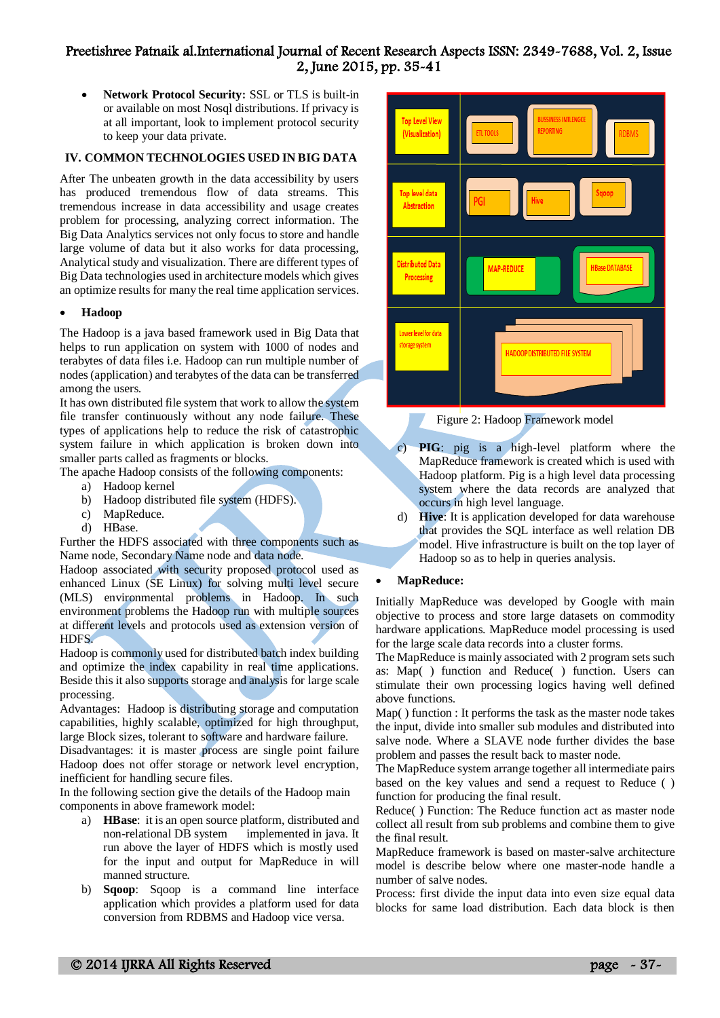**Network Protocol Security:** SSL or TLS is built-in or available on most Nosql distributions. If privacy is at all important, look to implement protocol security to keep your data private.

#### **IV. COMMON TECHNOLOGIES USED IN BIG DATA**

After The unbeaten growth in the data accessibility by users has produced tremendous flow of data streams. This tremendous increase in data accessibility and usage creates problem for processing, analyzing correct information. The Big Data Analytics services not only focus to store and handle large volume of data but it also works for data processing, Analytical study and visualization. There are different types of Big Data technologies used in architecture models which gives an optimize results for many the real time application services.

#### **Hadoop**

The Hadoop is a java based framework used in Big Data that helps to run application on system with 1000 of nodes and terabytes of data files i.e. Hadoop can run multiple number of nodes (application) and terabytes of the data can be transferred among the users.

It has own distributed file system that work to allow the system file transfer continuously without any node failure. These types of applications help to reduce the risk of catastrophic system failure in which application is broken down into smaller parts called as fragments or blocks.

The apache Hadoop consists of the following components:

- a) Hadoop kernel
- b) Hadoop distributed file system (HDFS).
- c) MapReduce.
- d) HBase.

Further the HDFS associated with three components such as Name node, Secondary Name node and data node.

Hadoop associated with security proposed protocol used as enhanced Linux (SE Linux) for solving multi level secure (MLS) environmental problems in Hadoop. In such environment problems the Hadoop run with multiple sources at different levels and protocols used as extension version of HDFS.

Hadoop is commonly used for distributed batch index building and optimize the index capability in real time applications. Beside this it also supports storage and analysis for large scale processing.

Advantages: Hadoop is distributing storage and computation capabilities, highly scalable, optimized for high throughput, large Block sizes, tolerant to software and hardware failure.

Disadvantages: it is master process are single point failure Hadoop does not offer storage or network level encryption, inefficient for handling secure files.

In the following section give the details of the Hadoop main components in above framework model:

- a) **HBase**: it is an open source platform, distributed and non-relational DB system implemented in java. It run above the layer of HDFS which is mostly used for the input and output for MapReduce in will manned structure.
- b) **Sqoop**: Sqoop is a command line interface application which provides a platform used for data conversion from RDBMS and Hadoop vice versa.



Figure 2: Hadoop Framework model

- c) **PIG**: pig is a high-level platform where the MapReduce framework is created which is used with Hadoop platform. Pig is a high level data processing system where the data records are analyzed that occurs in high level language.
- d) **Hive**: It is application developed for data warehouse that provides the SQL interface as well relation DB model. Hive infrastructure is built on the top layer of Hadoop so as to help in queries analysis.

#### **MapReduce:**

Initially MapReduce was developed by Google with main objective to process and store large datasets on commodity hardware applications. MapReduce model processing is used for the large scale data records into a cluster forms.

The MapReduce is mainly associated with 2 program sets such as: Map( ) function and Reduce( ) function. Users can stimulate their own processing logics having well defined above functions.

Map( ) function : It performs the task as the master node takes the input, divide into smaller sub modules and distributed into salve node. Where a SLAVE node further divides the base problem and passes the result back to master node.

The MapReduce system arrange together all intermediate pairs based on the key values and send a request to Reduce ( ) function for producing the final result.

Reduce( ) Function: The Reduce function act as master node collect all result from sub problems and combine them to give the final result.

MapReduce framework is based on master-salve architecture model is describe below where one master-node handle a number of salve nodes.

Process: first divide the input data into even size equal data blocks for same load distribution. Each data block is then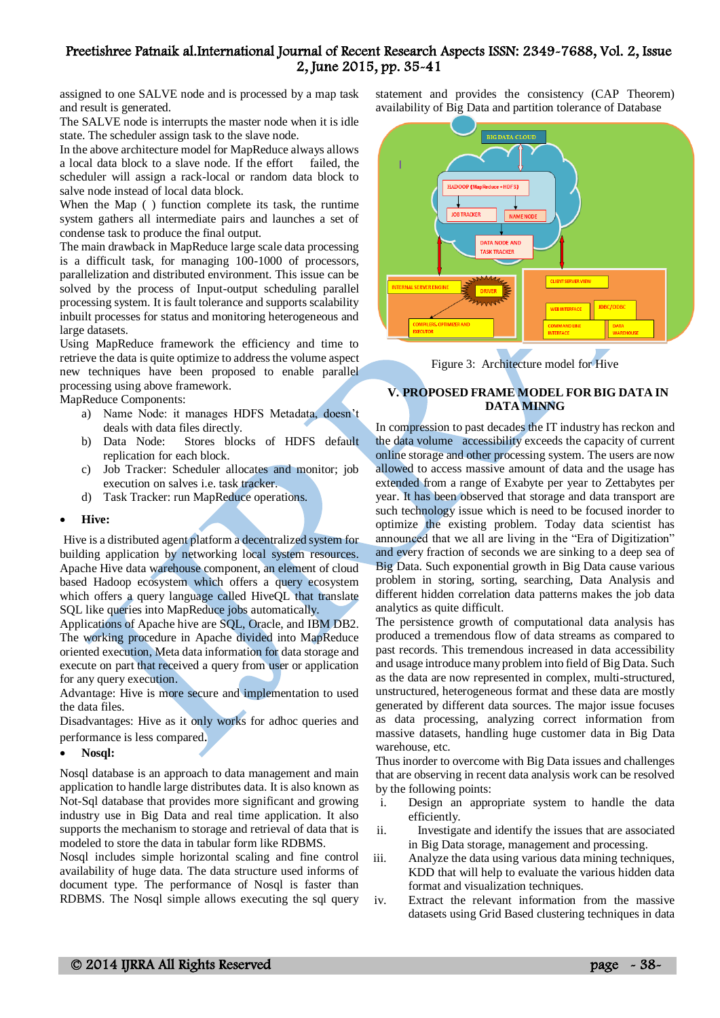assigned to one SALVE node and is processed by a map task and result is generated.

The SALVE node is interrupts the master node when it is idle state. The scheduler assign task to the slave node.

In the above architecture model for MapReduce always allows a local data block to a slave node. If the effort failed, the scheduler will assign a rack-local or random data block to salve node instead of local data block.

When the Map ( ) function complete its task, the runtime system gathers all intermediate pairs and launches a set of condense task to produce the final output.

The main drawback in MapReduce large scale data processing is a difficult task, for managing 100-1000 of processors, parallelization and distributed environment. This issue can be solved by the process of Input-output scheduling parallel processing system. It is fault tolerance and supports scalability inbuilt processes for status and monitoring heterogeneous and large datasets.

Using MapReduce framework the efficiency and time to retrieve the data is quite optimize to address the volume aspect new techniques have been proposed to enable parallel processing using above framework.

MapReduce Components:

- a) Name Node: it manages HDFS Metadata, doesn't deals with data files directly.
- b) Data Node: Stores blocks of HDFS default replication for each block.
- c) Job Tracker: Scheduler allocates and monitor; job execution on salves i.e. task tracker.
- d) Task Tracker: run MapReduce operations.
- **Hive:**

Hive is a distributed agent platform a decentralized system for building application by networking local system resources. Apache Hive data warehouse component, an element of cloud based Hadoop ecosystem which offers a query ecosystem which offers a query language called HiveQL that translate SQL like queries into MapReduce jobs automatically.

Applications of Apache hive are SQL, Oracle, and IBM DB2. The working procedure in Apache divided into MapReduce oriented execution, Meta data information for data storage and execute on part that received a query from user or application for any query execution.

Advantage: Hive is more secure and implementation to used the data files.

Disadvantages: Hive as it only works for adhoc queries and performance is less compared.

**Nosql:** 

Nosql database is an approach to data management and main application to handle large distributes data. It is also known as Not-Sql database that provides more significant and growing industry use in Big Data and real time application. It also supports the mechanism to storage and retrieval of data that is modeled to store the data in tabular form like RDBMS.

Nosql includes simple horizontal scaling and fine control availability of huge data. The data structure used informs of document type. The performance of Nosql is faster than RDBMS. The Nosql simple allows executing the sql query

statement and provides the consistency (CAP Theorem) availability of Big Data and partition tolerance of Database



Figure 3: Architecture model for Hive

## **V. PROPOSED FRAME MODEL FOR BIG DATA IN DATA MINNG**

In compression to past decades the IT industry has reckon and the data volume accessibility exceeds the capacity of current online storage and other processing system. The users are now allowed to access massive amount of data and the usage has extended from a range of Exabyte per year to Zettabytes per year. It has been observed that storage and data transport are such technology issue which is need to be focused inorder to optimize the existing problem. Today data scientist has announced that we all are living in the "Era of Digitization" and every fraction of seconds we are sinking to a deep sea of Big Data. Such exponential growth in Big Data cause various problem in storing, sorting, searching, Data Analysis and different hidden correlation data patterns makes the job data analytics as quite difficult.

The persistence growth of computational data analysis has produced a tremendous flow of data streams as compared to past records. This tremendous increased in data accessibility and usage introduce many problem into field of Big Data. Such as the data are now represented in complex, multi-structured, unstructured, heterogeneous format and these data are mostly generated by different data sources. The major issue focuses as data processing, analyzing correct information from massive datasets, handling huge customer data in Big Data warehouse, etc.

Thus inorder to overcome with Big Data issues and challenges that are observing in recent data analysis work can be resolved by the following points:

- i. Design an appropriate system to handle the data efficiently.
- ii. Investigate and identify the issues that are associated in Big Data storage, management and processing.
- iii. Analyze the data using various data mining techniques, KDD that will help to evaluate the various hidden data format and visualization techniques.
- iv. Extract the relevant information from the massive datasets using Grid Based clustering techniques in data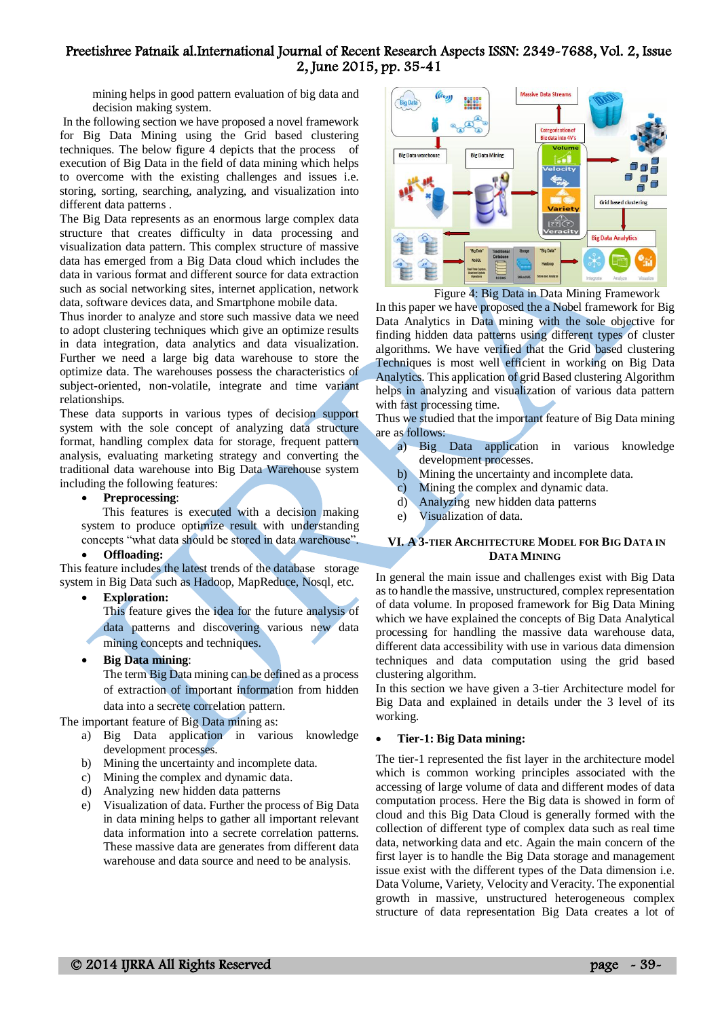mining helps in good pattern evaluation of big data and decision making system.

In the following section we have proposed a novel framework for Big Data Mining using the Grid based clustering techniques. The below figure 4 depicts that the process of execution of Big Data in the field of data mining which helps to overcome with the existing challenges and issues i.e. storing, sorting, searching, analyzing, and visualization into different data patterns .

The Big Data represents as an enormous large complex data structure that creates difficulty in data processing and visualization data pattern. This complex structure of massive data has emerged from a Big Data cloud which includes the data in various format and different source for data extraction such as social networking sites, internet application, network data, software devices data, and Smartphone mobile data.

Thus inorder to analyze and store such massive data we need to adopt clustering techniques which give an optimize results in data integration, data analytics and data visualization. Further we need a large big data warehouse to store the optimize data. The warehouses possess the characteristics of subject-oriented, non-volatile, integrate and time variant relationships.

These data supports in various types of decision support system with the sole concept of analyzing data structure format, handling complex data for storage, frequent pattern analysis, evaluating marketing strategy and converting the traditional data warehouse into Big Data Warehouse system including the following features:

#### **Preprocessing**:

 This features is executed with a decision making system to produce optimize result with understanding concepts "what data should be stored in data warehouse".

#### **Offloading:**

This feature includes the latest trends of the database storage system in Big Data such as Hadoop, MapReduce, Nosql, etc.

#### **Exploration:**

This feature gives the idea for the future analysis of data patterns and discovering various new data mining concepts and techniques.

**Big Data mining**:

The term Big Data mining can be defined as a process of extraction of important information from hidden data into a secrete correlation pattern.

The important feature of Big Data mining as:

- a) Big Data application in various knowledge development processes.
- b) Mining the uncertainty and incomplete data.
- c) Mining the complex and dynamic data.
- d) Analyzing new hidden data patterns
- e) Visualization of data. Further the process of Big Data in data mining helps to gather all important relevant data information into a secrete correlation patterns. These massive data are generates from different data warehouse and data source and need to be analysis.



Figure 4: Big Data in Data Mining Framework

In this paper we have proposed the a Nobel framework for Big Data Analytics in Data mining with the sole objective for finding hidden data patterns using different types of cluster algorithms. We have verified that the Grid based clustering Techniques is most well efficient in working on Big Data Analytics. This application of grid Based clustering Algorithm helps in analyzing and visualization of various data pattern with fast processing time.

Thus we studied that the important feature of Big Data mining are as follows:

- a) Big Data application in various knowledge development processes.
- b) Mining the uncertainty and incomplete data.
- c) Mining the complex and dynamic data.
- d) Analyzing new hidden data patterns
- e) Visualization of data.

#### **VI. A 3-TIER ARCHITECTURE MODEL FOR BIG DATA IN DATA MINING**

In general the main issue and challenges exist with Big Data as to handle the massive, unstructured, complex representation of data volume. In proposed framework for Big Data Mining which we have explained the concepts of Big Data Analytical processing for handling the massive data warehouse data, different data accessibility with use in various data dimension techniques and data computation using the grid based clustering algorithm.

In this section we have given a 3-tier Architecture model for Big Data and explained in details under the 3 level of its working.

#### **Tier-1: Big Data mining:**

The tier-1 represented the fist layer in the architecture model which is common working principles associated with the accessing of large volume of data and different modes of data computation process. Here the Big data is showed in form of cloud and this Big Data Cloud is generally formed with the collection of different type of complex data such as real time data, networking data and etc. Again the main concern of the first layer is to handle the Big Data storage and management issue exist with the different types of the Data dimension i.e. Data Volume, Variety, Velocity and Veracity. The exponential growth in massive, unstructured heterogeneous complex structure of data representation Big Data creates a lot of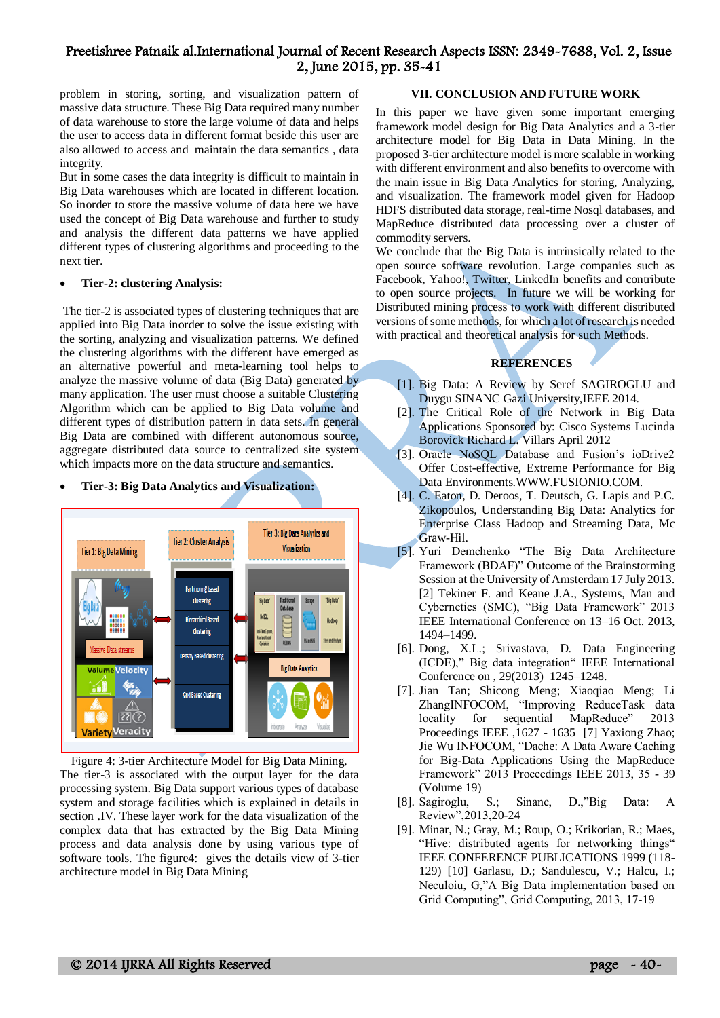problem in storing, sorting, and visualization pattern of massive data structure. These Big Data required many number of data warehouse to store the large volume of data and helps the user to access data in different format beside this user are also allowed to access and maintain the data semantics , data integrity.

But in some cases the data integrity is difficult to maintain in Big Data warehouses which are located in different location. So inorder to store the massive volume of data here we have used the concept of Big Data warehouse and further to study and analysis the different data patterns we have applied different types of clustering algorithms and proceeding to the next tier.

#### **Tier-2: clustering Analysis:**

The tier-2 is associated types of clustering techniques that are applied into Big Data inorder to solve the issue existing with the sorting, analyzing and visualization patterns. We defined the clustering algorithms with the different have emerged as an alternative powerful and meta-learning tool helps to analyze the massive volume of data (Big Data) generated by many application. The user must choose a suitable Clustering Algorithm which can be applied to Big Data volume and different types of distribution pattern in data sets. In general Big Data are combined with different autonomous source, aggregate distributed data source to centralized site system which impacts more on the data structure and semantics.

**Tier-3: Big Data Analytics and Visualization:**

## **Tier 3: Big Data Analytics and Tier 2: Cluster Analysis Visualization Tier 1: Big Data Mining Partitioning based** Clustering 'Blo Dat **Hierarchical Based** Clustering **Density Based clustering Big Data Analytics** Velocity **Grid Based Clustering**  $\overline{[3]}$ **Variety Veracity**

Figure 4: 3-tier Architecture Model for Big Data Mining. The tier-3 is associated with the output layer for the data processing system. Big Data support various types of database system and storage facilities which is explained in details in section .IV. These layer work for the data visualization of the complex data that has extracted by the Big Data Mining process and data analysis done by using various type of software tools. The figure4: gives the details view of 3-tier architecture model in Big Data Mining

#### **VII. CONCLUSION AND FUTURE WORK**

In this paper we have given some important emerging framework model design for Big Data Analytics and a 3-tier architecture model for Big Data in Data Mining. In the proposed 3-tier architecture model is more scalable in working with different environment and also benefits to overcome with the main issue in Big Data Analytics for storing, Analyzing, and visualization. The framework model given for Hadoop HDFS distributed data storage, real-time Nosql databases, and MapReduce distributed data processing over a cluster of commodity servers.

We conclude that the Big Data is intrinsically related to the open source software revolution. Large companies such as Facebook, Yahoo!, Twitter, LinkedIn benefits and contribute to open source projects. In future we will be working for Distributed mining process to work with different distributed versions of some methods, for which a lot of research is needed with practical and theoretical analysis for such Methods.

## **REFERENCES**

- [1]. Big Data: A Review by Seref SAGIROGLU and Duygu SINANC Gazi University,IEEE 2014.
- [2]. The Critical Role of the Network in Big Data Applications Sponsored by: Cisco Systems Lucinda Borovick Richard L. Villars April 2012
- [3]. Oracle NoSQL Database and Fusion's ioDrive2 Offer Cost-effective, Extreme Performance for Big Data Environments.WWW.FUSIONIO.COM.
- [4]. C. Eaton, D. Deroos, T. Deutsch, G. Lapis and P.C. Zikopoulos, Understanding Big Data: Analytics for Enterprise Class Hadoop and Streaming Data, Mc Graw-Hil.
- [5]. Yuri Demchenko "The Big Data Architecture Framework (BDAF)" Outcome of the Brainstorming Session at the University of Amsterdam 17 July 2013. [2] Tekiner F. and Keane J.A., Systems, Man and Cybernetics (SMC), "Big Data Framework" 2013 IEEE International Conference on 13–16 Oct. 2013, 1494–1499.
- [6]. Dong, X.L.; Srivastava, D. Data Engineering (ICDE)," Big data integration" IEEE International Conference on , 29(2013) 1245–1248.
- [7]. Jian Tan; Shicong Meng; Xiaoqiao Meng; Li ZhangINFOCOM, "Improving ReduceTask data locality for sequential MapReduce" 2013 Proceedings IEEE ,1627 - 1635 [7] Yaxiong Zhao; Jie Wu INFOCOM, "Dache: A Data Aware Caching for Big-Data Applications Using the MapReduce Framework" 2013 Proceedings IEEE 2013, 35 - 39 (Volume 19)
- [8]. Sagiroglu, S.; Sinanc, D.,"Big Data: A Review",2013,20-24
- [9]. Minar, N.; Gray, M.; Roup, O.; Krikorian, R.; Maes, "Hive: distributed agents for networking things" IEEE CONFERENCE PUBLICATIONS 1999 (118- 129) [10] Garlasu, D.; Sandulescu, V.; Halcu, I.; Neculoiu, G,"A Big Data implementation based on Grid Computing", Grid Computing, 2013, 17-19